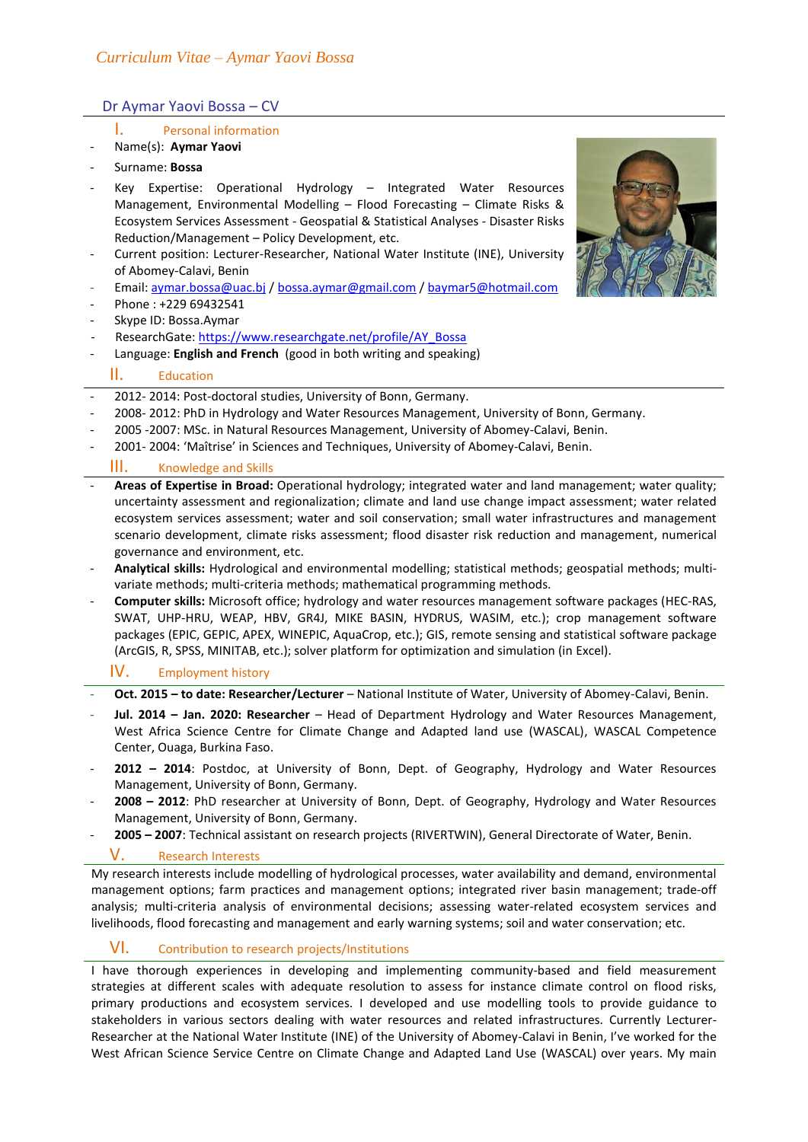# Dr Aymar Yaovi Bossa – CV

- I. Personal information
- Name(s): **Aymar Yaovi**
- Surname: **Bossa**
- Key Expertise: Operational Hydrology Integrated Water Resources Management, Environmental Modelling – Flood Forecasting – Climate Risks & Ecosystem Services Assessment - Geospatial & Statistical Analyses - Disaster Risks Reduction/Management – Policy Development, etc.
- Current position: Lecturer-Researcher, National Water Institute (INE), University of Abomey-Calavi, Benin
- Email: aymar.bossa@uac.bj / bossa.aymar@gmail.com / baymar5@hotmail.com
- Phone: +229 69432541
- Skype ID: Bossa.Aymar
- ResearchGate: https://www.researchgate.net/profile/AY\_Bossa
- Language: **English and French** (good in both writing and speaking)

## II. Education

- 2012- 2014: Post-doctoral studies, University of Bonn, Germany.
- 2008- 2012: PhD in Hydrology and Water Resources Management, University of Bonn, Germany.
- 2005 -2007: MSc. in Natural Resources Management, University of Abomey-Calavi, Benin.
- 2001- 2004: 'Maîtrise' in Sciences and Techniques, University of Abomey-Calavi, Benin.

## III. Knowledge and Skills

- **Areas of Expertise in Broad:** Operational hydrology; integrated water and land management; water quality; uncertainty assessment and regionalization; climate and land use change impact assessment; water related ecosystem services assessment; water and soil conservation; small water infrastructures and management scenario development, climate risks assessment; flood disaster risk reduction and management, numerical governance and environment, etc.
- **Analytical skills:** Hydrological and environmental modelling; statistical methods; geospatial methods; multivariate methods; multi-criteria methods; mathematical programming methods.
- **Computer skills:** Microsoft office; hydrology and water resources management software packages (HEC-RAS, SWAT, UHP-HRU, WEAP, HBV, GR4J, MIKE BASIN, HYDRUS, WASIM, etc.); crop management software packages (EPIC, GEPIC, APEX, WINEPIC, AquaCrop, etc.); GIS, remote sensing and statistical software package (ArcGIS, R, SPSS, MINITAB, etc.); solver platform for optimization and simulation (in Excel).

## IV. Employment history

- **Oct. 2015 – to date: Researcher/Lecturer** National Institute of Water, University of Abomey-Calavi, Benin.
- **Jul. 2014 – Jan. 2020: Researcher** Head of Department Hydrology and Water Resources Management, West Africa Science Centre for Climate Change and Adapted land use (WASCAL), WASCAL Competence Center, Ouaga, Burkina Faso.
- **2012 – 2014**: Postdoc, at University of Bonn, Dept. of Geography, Hydrology and Water Resources Management, University of Bonn, Germany.
- **2008 – 2012**: PhD researcher at University of Bonn, Dept. of Geography, Hydrology and Water Resources Management, University of Bonn, Germany.
- **2005 – 2007**: Technical assistant on research projects (RIVERTWIN), General Directorate of Water, Benin.

## V. Research Interests

My research interests include modelling of hydrological processes, water availability and demand, environmental management options; farm practices and management options; integrated river basin management; trade-off analysis; multi-criteria analysis of environmental decisions; assessing water-related ecosystem services and livelihoods, flood forecasting and management and early warning systems; soil and water conservation; etc.

## VI. Contribution to research projects/Institutions

I have thorough experiences in developing and implementing community-based and field measurement strategies at different scales with adequate resolution to assess for instance climate control on flood risks, primary productions and ecosystem services. I developed and use modelling tools to provide guidance to stakeholders in various sectors dealing with water resources and related infrastructures. Currently Lecturer-Researcher at the National Water Institute (INE) of the University of Abomey-Calavi in Benin, I've worked for the West African Science Service Centre on Climate Change and Adapted Land Use (WASCAL) over years. My main

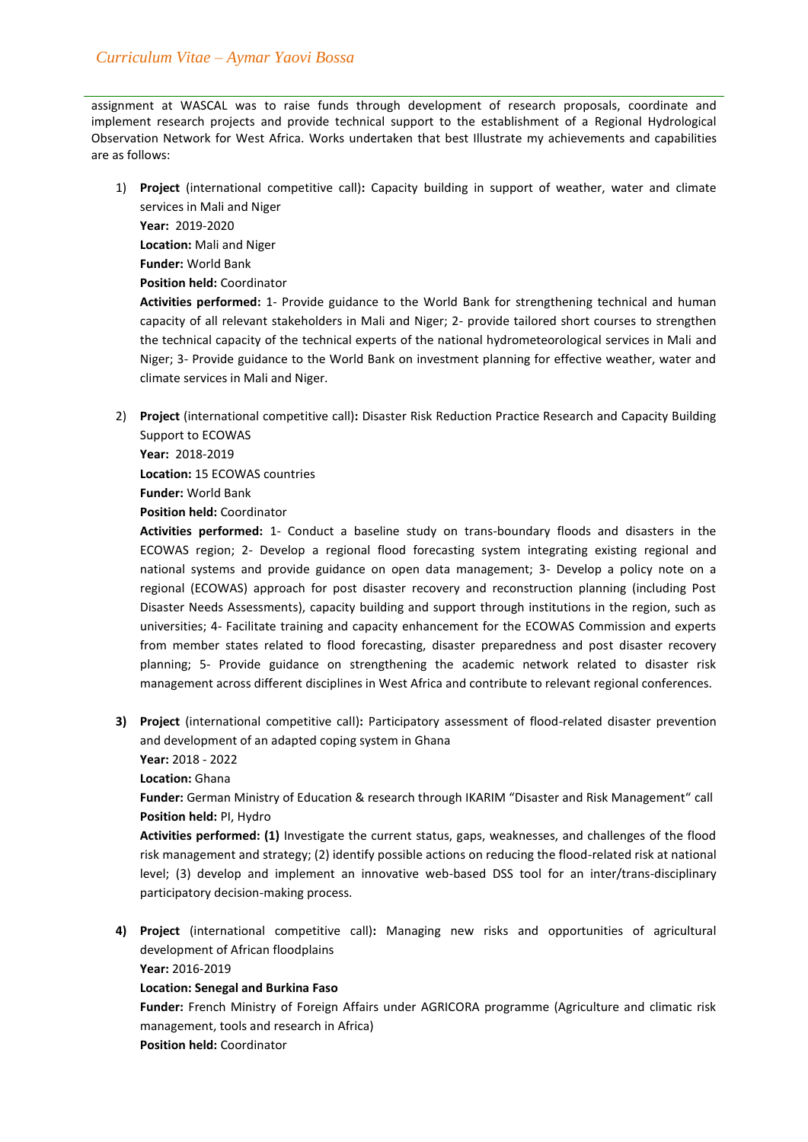assignment at WASCAL was to raise funds through development of research proposals, coordinate and implement research projects and provide technical support to the establishment of a Regional Hydrological Observation Network for West Africa. Works undertaken that best Illustrate my achievements and capabilities are as follows:

1) **Project** (international competitive call)**:** Capacity building in support of weather, water and climate services in Mali and Niger

**Year:** 2019-2020 **Location:** Mali and Niger **Funder:** World Bank

**Position held:** Coordinator

**Activities performed:** 1- Provide guidance to the World Bank for strengthening technical and human capacity of all relevant stakeholders in Mali and Niger; 2- provide tailored short courses to strengthen the technical capacity of the technical experts of the national hydrometeorological services in Mali and Niger; 3- Provide guidance to the World Bank on investment planning for effective weather, water and climate services in Mali and Niger.

2) **Project** (international competitive call)**:** Disaster Risk Reduction Practice Research and Capacity Building Support to ECOWAS

**Year:** 2018-2019 **Location:** 15 ECOWAS countries **Funder:** World Bank

**Position held:** Coordinator

**Activities performed:** 1- Conduct a baseline study on trans-boundary floods and disasters in the ECOWAS region; 2- Develop a regional flood forecasting system integrating existing regional and national systems and provide guidance on open data management; 3- Develop a policy note on a regional (ECOWAS) approach for post disaster recovery and reconstruction planning (including Post Disaster Needs Assessments), capacity building and support through institutions in the region, such as universities; 4- Facilitate training and capacity enhancement for the ECOWAS Commission and experts from member states related to flood forecasting, disaster preparedness and post disaster recovery planning; 5- Provide guidance on strengthening the academic network related to disaster risk management across different disciplines in West Africa and contribute to relevant regional conferences.

**3) Project** (international competitive call)**:** Participatory assessment of flood-related disaster prevention and development of an adapted coping system in Ghana **Year:** 2018 - 2022

**Location:** Ghana

**Funder:** German Ministry of Education & research through IKARIM "Disaster and Risk Management" call **Position held:** PI, Hydro

**Activities performed: (1)** Investigate the current status, gaps, weaknesses, and challenges of the flood risk management and strategy; (2) identify possible actions on reducing the flood-related risk at national level; (3) develop and implement an innovative web-based DSS tool for an inter/trans-disciplinary participatory decision-making process.

**4) Project** (international competitive call)**:** Managing new risks and opportunities of agricultural development of African floodplains

**Year:** 2016-2019

## **Location: Senegal and Burkina Faso**

**Funder:** French Ministry of Foreign Affairs under AGRICORA programme (Agriculture and climatic risk management, tools and research in Africa)

**Position held:** Coordinator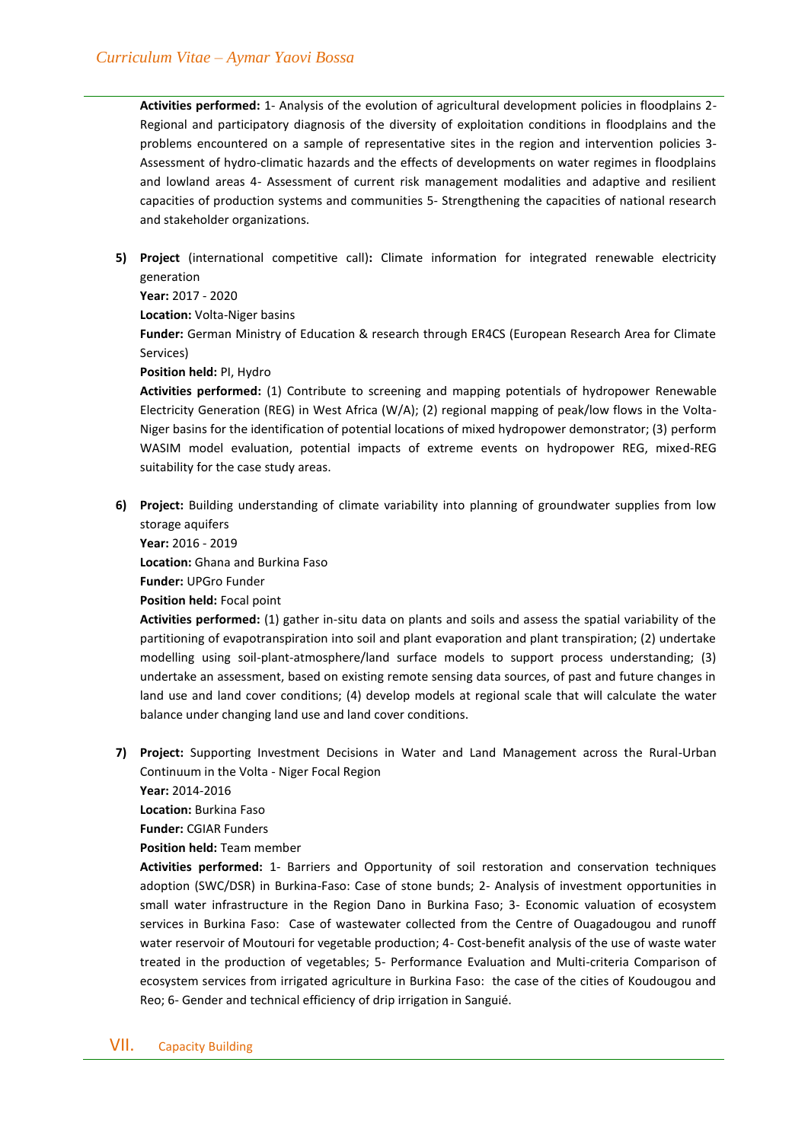**Activities performed:** 1- Analysis of the evolution of agricultural development policies in floodplains 2- Regional and participatory diagnosis of the diversity of exploitation conditions in floodplains and the problems encountered on a sample of representative sites in the region and intervention policies 3- Assessment of hydro-climatic hazards and the effects of developments on water regimes in floodplains and lowland areas 4- Assessment of current risk management modalities and adaptive and resilient capacities of production systems and communities 5- Strengthening the capacities of national research and stakeholder organizations.

**5) Project** (international competitive call)**:** Climate information for integrated renewable electricity generation

**Year:** 2017 - 2020

**Location:** Volta-Niger basins

**Funder:** German Ministry of Education & research through ER4CS (European Research Area for Climate Services)

**Position held:** PI, Hydro

**Activities performed:** (1) Contribute to screening and mapping potentials of hydropower Renewable Electricity Generation (REG) in West Africa (W/A); (2) regional mapping of peak/low flows in the Volta-Niger basins for the identification of potential locations of mixed hydropower demonstrator; (3) perform WASIM model evaluation, potential impacts of extreme events on hydropower REG, mixed-REG suitability for the case study areas.

**6) Project:** Building understanding of climate variability into planning of groundwater supplies from low storage aquifers

**Year:** 2016 - 2019 **Location:** Ghana and Burkina Faso **Funder:** UPGro Funder

**Position held:** Focal point

**Activities performed:** (1) gather in-situ data on plants and soils and assess the spatial variability of the partitioning of evapotranspiration into soil and plant evaporation and plant transpiration; (2) undertake modelling using soil-plant-atmosphere/land surface models to support process understanding; (3) undertake an assessment, based on existing remote sensing data sources, of past and future changes in land use and land cover conditions; (4) develop models at regional scale that will calculate the water balance under changing land use and land cover conditions.

**7) Project:** Supporting Investment Decisions in Water and Land Management across the Rural-Urban Continuum in the Volta - Niger Focal Region

**Year:** 2014-2016

**Location:** Burkina Faso

**Funder:** CGIAR Funders

**Position held:** Team member

**Activities performed:** 1- Barriers and Opportunity of soil restoration and conservation techniques adoption (SWC/DSR) in Burkina-Faso: Case of stone bunds; 2- Analysis of investment opportunities in small water infrastructure in the Region Dano in Burkina Faso; 3- Economic valuation of ecosystem services in Burkina Faso: Case of wastewater collected from the Centre of Ouagadougou and runoff water reservoir of Moutouri for vegetable production; 4- Cost-benefit analysis of the use of waste water treated in the production of vegetables; 5- Performance Evaluation and Multi-criteria Comparison of ecosystem services from irrigated agriculture in Burkina Faso: the case of the cities of Koudougou and Reo; 6- Gender and technical efficiency of drip irrigation in Sanguié.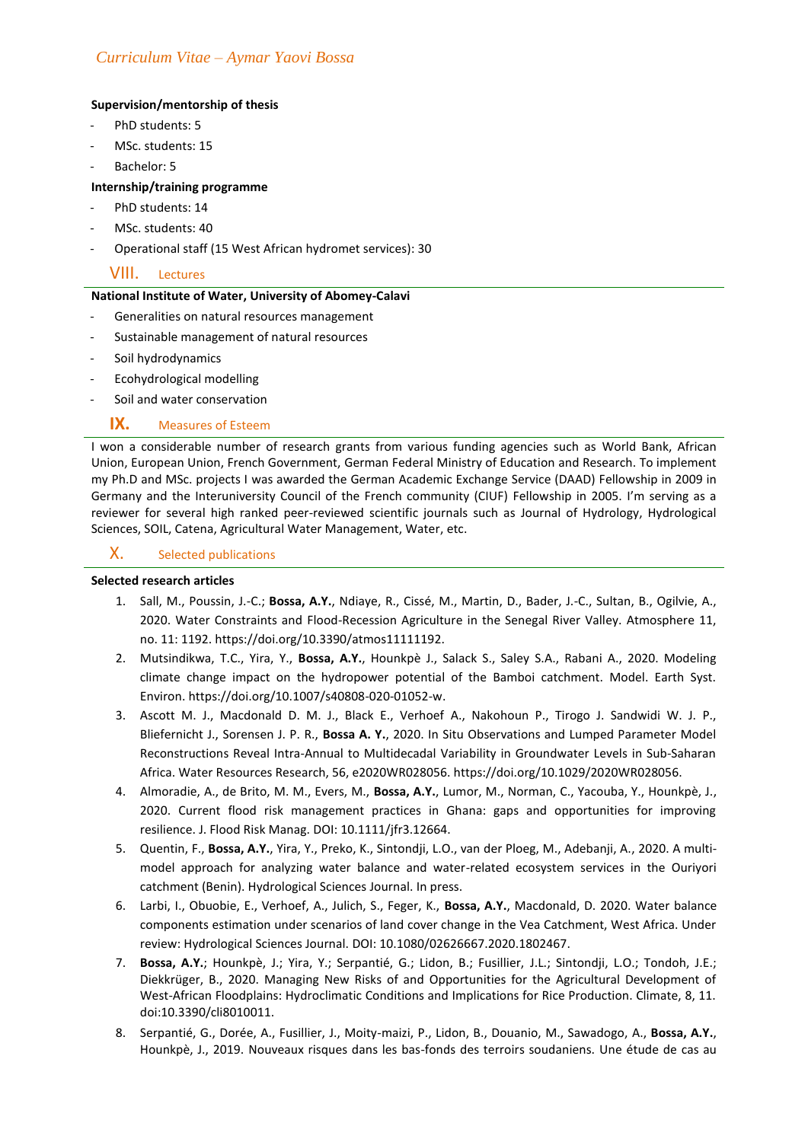## **Supervision/mentorship of thesis**

- PhD students: 5
- MSc. students: 15
- Bachelor: 5

## **Internship/training programme**

- PhD students: 14
- MSc. students: 40
- Operational staff (15 West African hydromet services): 30

# VIII. Lectures

## **National Institute of Water, University of Abomey-Calavi**

- Generalities on natural resources management
- Sustainable management of natural resources
- Soil hydrodynamics
- Ecohydrological modelling
- Soil and water conservation

## **IX.** Measures of Esteem

I won a considerable number of research grants from various funding agencies such as World Bank, African Union, European Union, French Government, German Federal Ministry of Education and Research. To implement my Ph.D and MSc. projects I was awarded the German Academic Exchange Service (DAAD) Fellowship in 2009 in Germany and the Interuniversity Council of the French community (CIUF) Fellowship in 2005. I'm serving as a reviewer for several high ranked peer-reviewed scientific journals such as Journal of Hydrology, Hydrological Sciences, SOIL, Catena, Agricultural Water Management, Water, etc.

## X. Selected publications

### **Selected research articles**

- 1. Sall, M., Poussin, J.-C.; **Bossa, A.Y.**, Ndiaye, R., Cissé, M., Martin, D., Bader, J.-C., Sultan, B., Ogilvie, A., 2020. Water Constraints and Flood-Recession Agriculture in the Senegal River Valley. Atmosphere 11, no. 11: 1192. https://doi.org/10.3390/atmos11111192.
- 2. Mutsindikwa, T.C., Yira, Y., **Bossa, A.Y.**, Hounkpè J., Salack S., Saley S.A., Rabani A., 2020. Modeling climate change impact on the hydropower potential of the Bamboi catchment. Model. Earth Syst. Environ. https://doi.org/10.1007/s40808-020-01052-w.
- 3. Ascott M. J., Macdonald D. M. J., Black E., Verhoef A., Nakohoun P., Tirogo J. Sandwidi W. J. P., Bliefernicht J., Sorensen J. P. R., **Bossa A. Y.**, 2020. In Situ Observations and Lumped Parameter Model Reconstructions Reveal Intra‐Annual to Multidecadal Variability in Groundwater Levels in Sub‐Saharan Africa. Water Resources Research, 56, e2020WR028056. https://doi.org/10.1029/2020WR028056.
- 4. Almoradie, A., de Brito, M. M., Evers, M., **Bossa, A.Y.**, Lumor, M., Norman, C., Yacouba, Y., Hounkpè, J., 2020. Current flood risk management practices in Ghana: gaps and opportunities for improving resilience. J. Flood Risk Manag. DOI: 10.1111/jfr3.12664.
- 5. Quentin, F., **Bossa, A.Y.**, Yira, Y., Preko, K., Sintondji, L.O., van der Ploeg, M., Adebanji, A., 2020. A multimodel approach for analyzing water balance and water-related ecosystem services in the Ouriyori catchment (Benin). Hydrological Sciences Journal. In press.
- 6. Larbi, I., Obuobie, E., Verhoef, A., Julich, S., Feger, K., **Bossa, A.Y.**, Macdonald, D. 2020. Water balance components estimation under scenarios of land cover change in the Vea Catchment, West Africa. Under review: Hydrological Sciences Journal. DOI: 10.1080/02626667.2020.1802467.
- 7. **Bossa, A.Y.**; Hounkpè, J.; Yira, Y.; Serpantié, G.; Lidon, B.; Fusillier, J.L.; Sintondji, L.O.; Tondoh, J.E.; Diekkrüger, B., 2020. Managing New Risks of and Opportunities for the Agricultural Development of West-African Floodplains: Hydroclimatic Conditions and Implications for Rice Production. Climate, 8, 11. doi:10.3390/cli8010011.
- 8. Serpantié, G., Dorée, A., Fusillier, J., Moity-maizi, P., Lidon, B., Douanio, M., Sawadogo, A., **Bossa, A.Y.**, Hounkpè, J., 2019. Nouveaux risques dans les bas-fonds des terroirs soudaniens. Une étude de cas au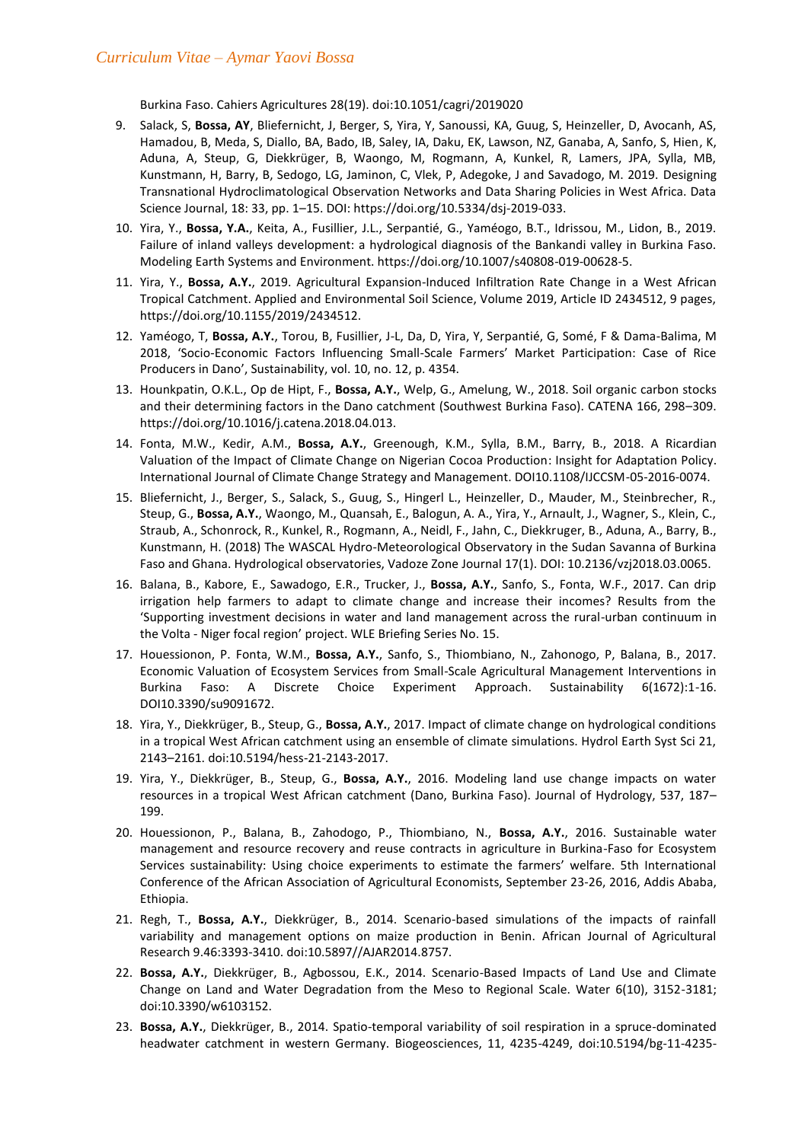Burkina Faso. Cahiers Agricultures 28(19). doi:10.1051/cagri/2019020

- 9. Salack, S, **Bossa, AY**, Bliefernicht, J, Berger, S, Yira, Y, Sanoussi, KA, Guug, S, Heinzeller, D, Avocanh, AS, Hamadou, B, Meda, S, Diallo, BA, Bado, IB, Saley, IA, Daku, EK, Lawson, NZ, Ganaba, A, Sanfo, S, Hien, K, Aduna, A, Steup, G, Diekkrüger, B, Waongo, M, Rogmann, A, Kunkel, R, Lamers, JPA, Sylla, MB, Kunstmann, H, Barry, B, Sedogo, LG, Jaminon, C, Vlek, P, Adegoke, J and Savadogo, M. 2019. Designing Transnational Hydroclimatological Observation Networks and Data Sharing Policies in West Africa. Data Science Journal, 18: 33, pp. 1–15. DOI: https://doi.org/10.5334/dsj-2019-033.
- 10. Yira, Y., **Bossa, Y.A.**, Keita, A., Fusillier, J.L., Serpantié, G., Yaméogo, B.T., Idrissou, M., Lidon, B., 2019. Failure of inland valleys development: a hydrological diagnosis of the Bankandi valley in Burkina Faso. Modeling Earth Systems and Environment. https://doi.org/10.1007/s40808-019-00628-5.
- 11. Yira, Y., **Bossa, A.Y.**, 2019. Agricultural Expansion-Induced Infiltration Rate Change in a West African Tropical Catchment. Applied and Environmental Soil Science, Volume 2019, Article ID 2434512, 9 pages, https://doi.org/10.1155/2019/2434512.
- 12. Yaméogo, T, **Bossa, A.Y.**, Torou, B, Fusillier, J-L, Da, D, Yira, Y, Serpantié, G, Somé, F & Dama-Balima, M 2018, 'Socio-Economic Factors Influencing Small-Scale Farmers' Market Participation: Case of Rice Producers in Dano'. Sustainability, vol. 10, no. 12, p. 4354.
- 13. Hounkpatin, O.K.L., Op de Hipt, F., **Bossa, A.Y.**, Welp, G., Amelung, W., 2018. Soil organic carbon stocks and their determining factors in the Dano catchment (Southwest Burkina Faso). CATENA 166, 298–309. https://doi.org/10.1016/j.catena.2018.04.013.
- 14. Fonta, M.W., Kedir, A.M., **Bossa, A.Y.**, Greenough, K.M., Sylla, B.M., Barry, B., 2018. A Ricardian Valuation of the Impact of Climate Change on Nigerian Cocoa Production: Insight for Adaptation Policy. International Journal of Climate Change Strategy and Management. DOI10.1108/IJCCSM-05-2016-0074.
- 15. Bliefernicht, J., Berger, S., Salack, S., Guug, S., Hingerl L., Heinzeller, D., Mauder, M., Steinbrecher, R., Steup, G., **Bossa, A.Y.**, Waongo, M., Quansah, E., Balogun, A. A., Yira, Y., Arnault, J., Wagner, S., Klein, C., Straub, A., Schonrock, R., Kunkel, R., Rogmann, A., Neidl, F., Jahn, C., Diekkruger, B., Aduna, A., Barry, B., Kunstmann, H. (2018) The WASCAL Hydro-Meteorological Observatory in the Sudan Savanna of Burkina Faso and Ghana. Hydrological observatories, Vadoze Zone Journal 17(1). DOI: 10.2136/vzj2018.03.0065.
- 16. Balana, B., Kabore, E., Sawadogo, E.R., Trucker, J., **Bossa, A.Y.**, Sanfo, S., Fonta, W.F., 2017. Can drip irrigation help farmers to adapt to climate change and increase their incomes? Results from the 'Supporting investment decisions in water and land management across the rural-urban continuum in the Volta - Niger focal region' project. WLE Briefing Series No. 15.
- 17. Houessionon, P. Fonta, W.M., **Bossa, A.Y.**, Sanfo, S., Thiombiano, N., Zahonogo, P, Balana, B., 2017. Economic Valuation of Ecosystem Services from Small-Scale Agricultural Management Interventions in Burkina Faso: A Discrete Choice Experiment Approach. Sustainability 6(1672):1-16. DOI10.3390/su9091672.
- 18. Yira, Y., Diekkrüger, B., Steup, G., **Bossa, A.Y.**, 2017. Impact of climate change on hydrological conditions in a tropical West African catchment using an ensemble of climate simulations. Hydrol Earth Syst Sci 21, 2143–2161. doi:10.5194/hess-21-2143-2017.
- 19. Yira, Y., Diekkrüger, B., Steup, G., **Bossa, A.Y.**, 2016. Modeling land use change impacts on water resources in a tropical West African catchment (Dano, Burkina Faso). Journal of Hydrology, 537, 187– 199.
- 20. Houessionon, P., Balana, B., Zahodogo, P., Thiombiano, N., **Bossa, A.Y.**, 2016. Sustainable water management and resource recovery and reuse contracts in agriculture in Burkina-Faso for Ecosystem Services sustainability: Using choice experiments to estimate the farmers' welfare. 5th International Conference of the African Association of Agricultural Economists, September 23-26, 2016, Addis Ababa, Ethiopia.
- 21. Regh, T., **Bossa, A.Y.**, Diekkrüger, B., 2014. Scenario-based simulations of the impacts of rainfall variability and management options on maize production in Benin. African Journal of Agricultural Research 9.46:3393-3410. doi:10.5897//AJAR2014.8757.
- 22. **Bossa, A.Y.**, Diekkrüger, B., Agbossou, E.K., 2014. Scenario-Based Impacts of Land Use and Climate Change on Land and Water Degradation from the Meso to Regional Scale. Water 6(10), 3152-3181; doi:10.3390/w6103152.
- 23. **Bossa, A.Y.**, Diekkrüger, B., 2014. Spatio-temporal variability of soil respiration in a spruce-dominated headwater catchment in western Germany. Biogeosciences, 11, 4235-4249, doi:10.5194/bg-11-4235-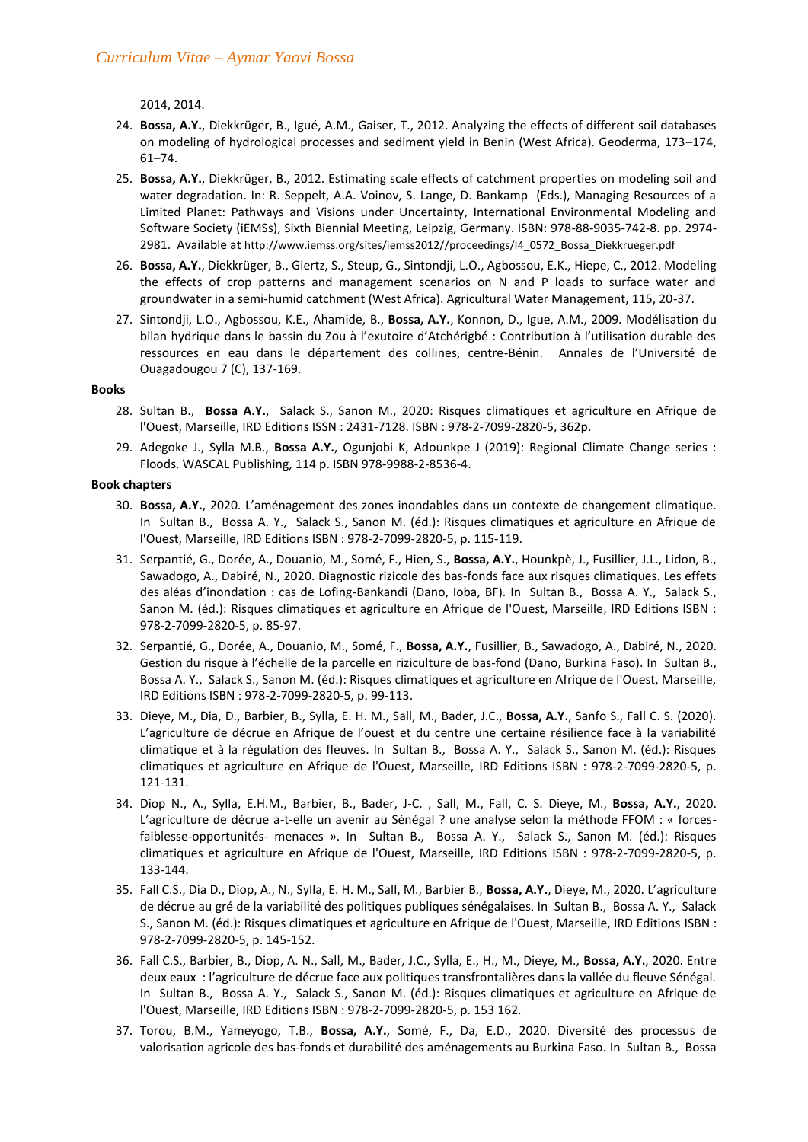2014, 2014.

- 24. **Bossa, A.Y.**, Diekkrüger, B., Igué, A.M., Gaiser, T., 2012. Analyzing the effects of different soil databases on modeling of hydrological processes and sediment yield in Benin (West Africa). Geoderma, 173–174, 61–74.
- 25. **Bossa, A.Y.**, Diekkrüger, B., 2012. Estimating scale effects of catchment properties on modeling soil and water degradation. In: R. Seppelt, A.A. Voinov, S. Lange, D. Bankamp (Eds.), Managing Resources of a Limited Planet: Pathways and Visions under Uncertainty, International Environmental Modeling and Software Society (iEMSs), Sixth Biennial Meeting, Leipzig, Germany. ISBN: 978-88-9035-742-8. pp. 2974- 2981. Available at http://www.iemss.org/sites/iemss2012//proceedings/I4\_0572\_Bossa\_Diekkrueger.pdf
- 26. **Bossa, A.Y.**, Diekkrüger, B., Giertz, S., Steup, G., Sintondji, L.O., Agbossou, E.K., Hiepe, C., 2012. Modeling the effects of crop patterns and management scenarios on N and P loads to surface water and groundwater in a semi-humid catchment (West Africa). Agricultural Water Management, 115, 20-37.
- 27. Sintondji, L.O., Agbossou, K.E., Ahamide, B., **Bossa, A.Y.**, Konnon, D., Igue, A.M., 2009. Modélisation du bilan hydrique dans le bassin du Zou à l'exutoire d'Atchérigbé : Contribution à l'utilisation durable des ressources en eau dans le département des collines, centre-Bénin. Annales de l'Université de Ouagadougou 7 (C), 137-169.

#### **Books**

- 28. Sultan B., **Bossa A.Y.**, Salack S., Sanon M., 2020: Risques climatiques et agriculture en Afrique de l'Ouest, Marseille, IRD Editions ISSN : 2431-7128. ISBN : 978-2-7099-2820-5, 362p.
- 29. Adegoke J., Sylla M.B., **Bossa A.Y.**, Ogunjobi K, Adounkpe J (2019): Regional Climate Change series : Floods. WASCAL Publishing, 114 p. ISBN 978-9988-2-8536-4.

#### **Book chapters**

- 30. **Bossa, A.Y.**, 2020. L'aménagement des zones inondables dans un contexte de changement climatique. In Sultan B., Bossa A. Y., Salack S., Sanon M. (éd.): Risques climatiques et agriculture en Afrique de l'Ouest, Marseille, IRD Editions ISBN : 978-2-7099-2820-5, p. 115-119.
- 31. Serpantié, G., Dorée, A., Douanio, M., Somé, F., Hien, S., **Bossa, A.Y.**, Hounkpè, J., Fusillier, J.L., Lidon, B., Sawadogo, A., Dabiré, N., 2020. Diagnostic rizicole des bas-fonds face aux risques climatiques. Les effets des aléas d'inondation : cas de Lofing-Bankandi (Dano, Ioba, BF). In Sultan B., Bossa A. Y., Salack S., Sanon M. (éd.): Risques climatiques et agriculture en Afrique de l'Ouest, Marseille, IRD Editions ISBN : 978-2-7099-2820-5, p. 85-97.
- 32. Serpantié, G., Dorée, A., Douanio, M., Somé, F., **Bossa, A.Y.**, Fusillier, B., Sawadogo, A., Dabiré, N., 2020. Gestion du risque à l'échelle de la arcelle en riziculture de bas-fond (Dano, Burkina Faso). In Sultan B., Bossa A. Y., Salack S., Sanon M. (éd.): Risques climatiques et agriculture en Afrique de l'Ouest, Marseille, IRD Editions ISBN : 978-2-7099-2820-5, p. 99-113.
- 33. Dieye, M., Dia, D., Barbier, B., Sylla, E. H. M., Sall, M., Bader, J.C., **Bossa, A.Y.**, Sanfo S., Fall C. S. (2020). L'agriculture de décrue en Afrique de l'ouest et du centre une certaine résilience face à la variabilité climatique et à la régulation des fleuves. In Sultan B., Bossa A. Y., Salack S., Sanon M. (éd.): Risques climatiques et agriculture en Afrique de l'Ouest, Marseille, IRD Editions ISBN : 978-2-7099-2820-5, p. 121-131.
- 34. Diop N., A., Sylla, E.H.M., Barbier, B., Bader, J-C. , Sall, M., Fall, C. S. Dieye, M., **Bossa, A.Y.**, 2020. L'agriculture de décrue a-t-elle un avenir au Sénégal ? une analyse selon la méthode FFOM : « forcesfaiblesse-opportunités- menaces ». In Sultan B., Bossa A. Y., Salack S., Sanon M. (éd.): Risques climatiques et agriculture en Afrique de l'Ouest, Marseille, IRD Editions ISBN : 978-2-7099-2820-5, p. 133-144.
- 35. Fall C.S., Dia D., Diop, A., N., Sylla, E. H. M., Sall, M., Barbier B., **Bossa, A.Y.**, Dieye, M., 2020. L'agriculture de décrue au gré de la variabilité des politiques publiques sénégalaises. In Sultan B., Bossa A. Y., Salack S., Sanon M. (éd.): Risques climatiques et agriculture en Afrique de l'Ouest, Marseille, IRD Editions ISBN : 978-2-7099-2820-5, p. 145-152.
- 36. Fall C.S., Barbier, B., Diop, A. N., Sall, M., Bader, J.C., Sylla, E., H., M., Dieye, M., **Bossa, A.Y.**, 2020. Entre deux eaux : l'agriculture de décrue face aux olitiques transfrontalières dans la vallée du fleuve Sénégal. In Sultan B., Bossa A. Y., Salack S., Sanon M. (éd.): Risques climatiques et agriculture en Afrique de l'Ouest, Marseille, IRD Editions ISBN : 978-2-7099-2820-5, p. 153 162.
- 37. Torou, B.M., Yameyogo, T.B., **Bossa, A.Y.**, Somé, F., Da, E.D., 2020. Diversité des processus de valorisation agricole des bas-fonds et durabilité des aménagements au Burkina Faso. In Sultan B., Bossa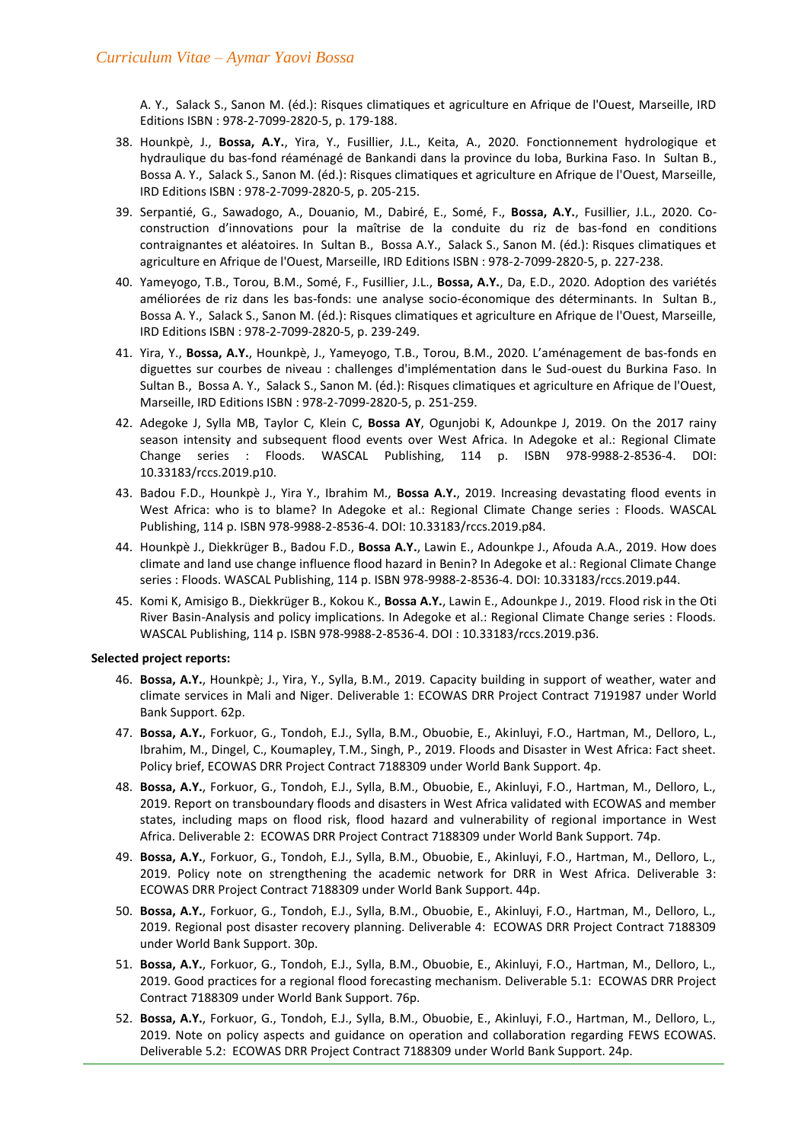A. Y., Salack S., Sanon M. (éd.): Risques climatiques et agriculture en Afrique de l'Ouest, Marseille, IRD Editions ISBN : 978-2-7099-2820-5, p. 179-188.

- 38. Hounkpè, J., **Bossa, A.Y.**, Yira, Y., Fusillier, J.L., Keita, A., 2020. Fonctionnement hydrologique et hydraulique du bas-fond réaménagé de Bankandi dans la province du Ioba, Burkina Faso. In Sultan B., Bossa A. Y., Salack S., Sanon M. (éd.): Risques climatiques et agriculture en Afrique de l'Ouest, Marseille, IRD Editions ISBN : 978-2-7099-2820-5, p. 205-215.
- 39. Serpantié, G., Sawadogo, A., Douanio, M., Dabiré, E., Somé, F., **Bossa, A.Y.**, Fusillier, J.L., 2020. Coconstruction d'innovations our la maîtrise de la conduite du riz de bas-fond en conditions contraignantes et aléatoires. In Sultan B., Bossa A.Y., Salack S., Sanon M. (éd.): Risques climatiques et agriculture en Afrique de l'Ouest, Marseille, IRD Editions ISBN : 978-2-7099-2820-5, p. 227-238.
- 40. Yameyogo, T.B., Torou, B.M., Somé, F., Fusillier, J.L., **Bossa, A.Y.**, Da, E.D., 2020. Adoption des variétés améliorées de riz dans les bas-fonds: une analyse socio-économique des déterminants. In Sultan B., Bossa A. Y., Salack S., Sanon M. (éd.): Risques climatiques et agriculture en Afrique de l'Ouest, Marseille, IRD Editions ISBN : 978-2-7099-2820-5, p. 239-249.
- 41. Yira, Y., **Bossa, A.Y.**, Hounkpè, J., Yameyogo, T.B., Torou, B.M., 2020. L'aménagement de bas-fonds en diguettes sur courbes de niveau : challenges d'implémentation dans le Sud-ouest du Burkina Faso. In Sultan B., Bossa A. Y., Salack S., Sanon M. (éd.): Risques climatiques et agriculture en Afrique de l'Ouest, Marseille, IRD Editions ISBN : 978-2-7099-2820-5, p. 251-259.
- 42. Adegoke J, Sylla MB, Taylor C, Klein C, **Bossa AY**, Ogunjobi K, Adounkpe J, 2019. On the 2017 rainy season intensity and subsequent flood events over West Africa. In Adegoke et al.: Regional Climate Change series : Floods. WASCAL Publishing, 114 p. ISBN 978-9988-2-8536-4. DOI: 10.33183/rccs.2019.p10.
- 43. Badou F.D., Hounkpè J., Yira Y., Ibrahim M., **Bossa A.Y.**, 2019. Increasing devastating flood events in West Africa: who is to blame? In Adegoke et al.: Regional Climate Change series : Floods. WASCAL Publishing, 114 p. ISBN 978-9988-2-8536-4. DOI: 10.33183/rccs.2019.p84.
- 44. Hounkpè J., Diekkrüger B., Badou F.D., **Bossa A.Y.**, Lawin E., Adounkpe J., Afouda A.A., 2019. How does climate and land use change influence flood hazard in Benin? In Adegoke et al.: Regional Climate Change series : Floods. WASCAL Publishing, 114 p. ISBN 978-9988-2-8536-4. DOI: 10.33183/rccs.2019.p44.
- 45. Komi K, Amisigo B., Diekkrüger B., Kokou K., **Bossa A.Y.**, Lawin E., Adounkpe J., 2019. Flood risk in the Oti River Basin-Analysis and policy implications. In Adegoke et al.: Regional Climate Change series : Floods. WASCAL Publishing, 114 p. ISBN 978-9988-2-8536-4. DOI : 10.33183/rccs.2019.p36.

### **Selected project reports:**

- 46. **Bossa, A.Y.**, Hounkpè; J., Yira, Y., Sylla, B.M., 2019. Capacity building in support of weather, water and climate services in Mali and Niger. Deliverable 1: ECOWAS DRR Project Contract 7191987 under World Bank Support. 62p.
- 47. **Bossa, A.Y.**, Forkuor, G., Tondoh, E.J., Sylla, B.M., Obuobie, E., Akinluyi, F.O., Hartman, M., Delloro, L., Ibrahim, M., Dingel, C., Koumapley, T.M., Singh, P., 2019. Floods and Disaster in West Africa: Fact sheet. Policy brief, ECOWAS DRR Project Contract 7188309 under World Bank Support. 4p.
- 48. **Bossa, A.Y.**, Forkuor, G., Tondoh, E.J., Sylla, B.M., Obuobie, E., Akinluyi, F.O., Hartman, M., Delloro, L., 2019. Report on transboundary floods and disasters in West Africa validated with ECOWAS and member states, including maps on flood risk, flood hazard and vulnerability of regional importance in West Africa. Deliverable 2: ECOWAS DRR Project Contract 7188309 under World Bank Support. 74p.
- 49. **Bossa, A.Y.**, Forkuor, G., Tondoh, E.J., Sylla, B.M., Obuobie, E., Akinluyi, F.O., Hartman, M., Delloro, L., 2019. Policy note on strengthening the academic network for DRR in West Africa. Deliverable 3: ECOWAS DRR Project Contract 7188309 under World Bank Support. 44p.
- 50. **Bossa, A.Y.**, Forkuor, G., Tondoh, E.J., Sylla, B.M., Obuobie, E., Akinluyi, F.O., Hartman, M., Delloro, L., 2019. Regional post disaster recovery planning. Deliverable 4: ECOWAS DRR Project Contract 7188309 under World Bank Support. 30p.
- 51. **Bossa, A.Y.**, Forkuor, G., Tondoh, E.J., Sylla, B.M., Obuobie, E., Akinluyi, F.O., Hartman, M., Delloro, L., 2019. Good practices for a regional flood forecasting mechanism. Deliverable 5.1: ECOWAS DRR Project Contract 7188309 under World Bank Support. 76p.
- 52. **Bossa, A.Y.**, Forkuor, G., Tondoh, E.J., Sylla, B.M., Obuobie, E., Akinluyi, F.O., Hartman, M., Delloro, L., 2019. Note on policy aspects and guidance on operation and collaboration regarding FEWS ECOWAS. Deliverable 5.2: ECOWAS DRR Project Contract 7188309 under World Bank Support. 24p.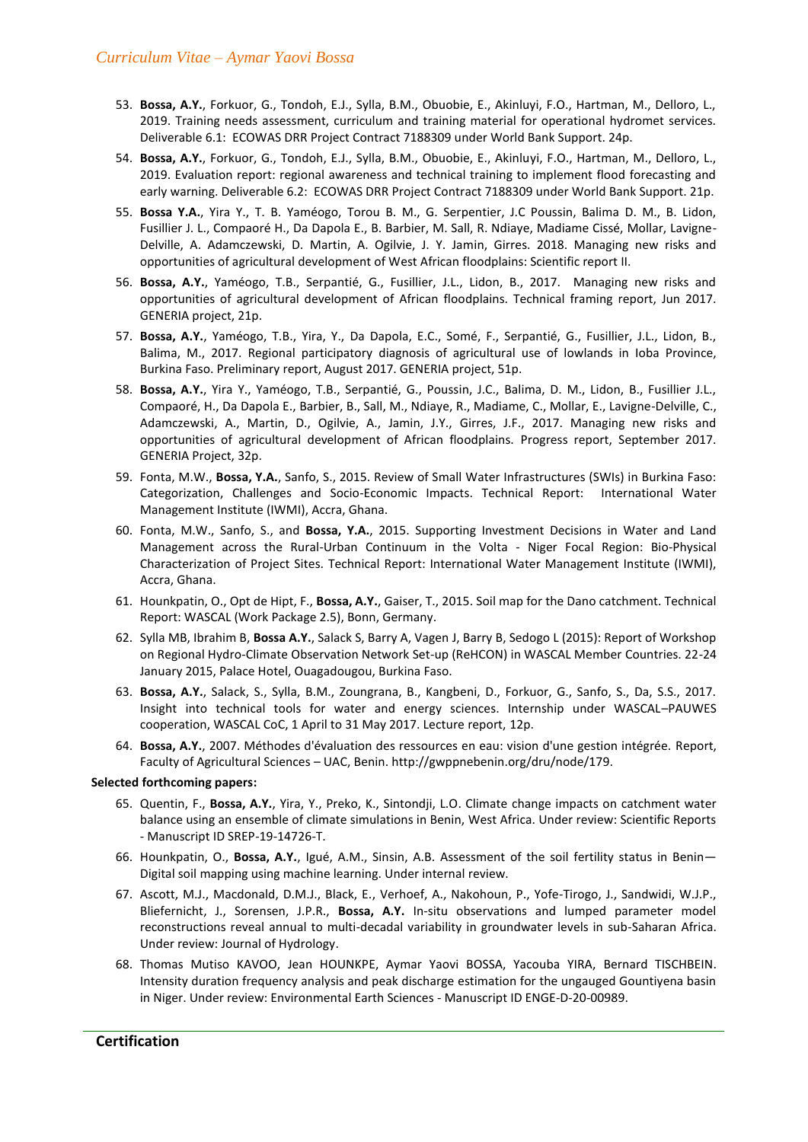- 53. **Bossa, A.Y.**, Forkuor, G., Tondoh, E.J., Sylla, B.M., Obuobie, E., Akinluyi, F.O., Hartman, M., Delloro, L., 2019. Training needs assessment, curriculum and training material for operational hydromet services. Deliverable 6.1: ECOWAS DRR Project Contract 7188309 under World Bank Support. 24p.
- 54. **Bossa, A.Y.**, Forkuor, G., Tondoh, E.J., Sylla, B.M., Obuobie, E., Akinluyi, F.O., Hartman, M., Delloro, L., 2019. Evaluation report: regional awareness and technical training to implement flood forecasting and early warning. Deliverable 6.2: ECOWAS DRR Project Contract 7188309 under World Bank Support. 21p.
- 55. **Bossa Y.A.**, Yira Y., T. B. Yaméogo, Torou B. M., G. Serpentier, J.C Poussin, Balima D. M., B. Lidon, Fusillier J. L., Compaoré H., Da Dapola E., B. Barbier, M. Sall, R. Ndiaye, Madiame Cissé, Mollar, Lavigne-Delville, A. Adamczewski, D. Martin, A. Ogilvie, J. Y. Jamin, Girres. 2018. Managing new risks and opportunities of agricultural development of West African floodplains: Scientific report II.
- 56. **Bossa, A.Y.**, Yaméogo, T.B., Serpantié, G., Fusillier, J.L., Lidon, B., 2017. Managing new risks and opportunities of agricultural development of African floodplains. Technical framing report, Jun 2017. GENERIA project, 21p.
- 57. **Bossa, A.Y.**, Yaméogo, T.B., Yira, Y., Da Dapola, E.C., Somé, F., Serpantié, G., Fusillier, J.L., Lidon, B., Balima, M., 2017. Regional participatory diagnosis of agricultural use of lowlands in Ioba Province, Burkina Faso. Preliminary report, August 2017. GENERIA project, 51p.
- 58. **Bossa, A.Y.**, Yira Y., Yaméogo, T.B., Serpantié, G., Poussin, J.C., Balima, D. M., Lidon, B., Fusillier J.L., Compaoré, H., Da Dapola E., Barbier, B., Sall, M., Ndiaye, R., Madiame, C., Mollar, E., Lavigne-Delville, C., Adamczewski, A., Martin, D., Ogilvie, A., Jamin, J.Y., Girres, J.F., 2017. Managing new risks and opportunities of agricultural development of African floodplains. Progress report, September 2017. GENERIA Project, 32p.
- 59. Fonta, M.W., **Bossa, Y.A.**, Sanfo, S., 2015. Review of Small Water Infrastructures (SWIs) in Burkina Faso: Categorization, Challenges and Socio-Economic Impacts. Technical Report: International Water Management Institute (IWMI), Accra, Ghana.
- 60. Fonta, M.W., Sanfo, S., and **Bossa, Y.A.**, 2015. Supporting Investment Decisions in Water and Land Management across the Rural-Urban Continuum in the Volta - Niger Focal Region: Bio-Physical Characterization of Project Sites. Technical Report: International Water Management Institute (IWMI), Accra, Ghana.
- 61. Hounkpatin, O., Opt de Hipt, F., **Bossa, A.Y.**, Gaiser, T., 2015. Soil map for the Dano catchment. Technical Report: WASCAL (Work Package 2.5), Bonn, Germany.
- 62. Sylla MB, Ibrahim B, **Bossa A.Y.**, Salack S, Barry A, Vagen J, Barry B, Sedogo L (2015): Report of Workshop on Regional Hydro-Climate Observation Network Set-up (ReHCON) in WASCAL Member Countries. 22-24 January 2015, Palace Hotel, Ouagadougou, Burkina Faso.
- 63. **Bossa, A.Y.**, Salack, S., Sylla, B.M., Zoungrana, B., Kangbeni, D., Forkuor, G., Sanfo, S., Da, S.S., 2017. Insight into technical tools for water and energy sciences. Internship under WASCAL–PAUWES cooperation, WASCAL CoC, 1 April to 31 May 2017. Lecture report, 12p.
- 64. **Bossa, A.Y.**, 2007. Méthodes d'évaluation des ressources en eau: vision d'une gestion intégrée. Report, Faculty of Agricultural Sciences – UAC, Benin. http://gwppnebenin.org/dru/node/179.

## **Selected forthcoming papers:**

- 65. Quentin, F., **Bossa, A.Y.**, Yira, Y., Preko, K., Sintondji, L.O. Climate change impacts on catchment water balance using an ensemble of climate simulations in Benin, West Africa. Under review: Scientific Reports - Manuscript ID SREP-19-14726-T.
- 66. Hounkpatin, O., **Bossa, A.Y.**, Igué, A.M., Sinsin, A.B. Assessment of the soil fertility status in Benin— Digital soil mapping using machine learning. Under internal review.
- 67. Ascott, M.J., Macdonald, D.M.J., Black, E., Verhoef, A., Nakohoun, P., Yofe-Tirogo, J., Sandwidi, W.J.P., Bliefernicht, J., Sorensen, J.P.R., **Bossa, A.Y.** In-situ observations and lumped parameter model reconstructions reveal annual to multi-decadal variability in groundwater levels in sub-Saharan Africa. Under review: Journal of Hydrology.
- 68. Thomas Mutiso KAVOO, Jean HOUNKPE, Aymar Yaovi BOSSA, Yacouba YIRA, Bernard TISCHBEIN. Intensity duration frequency analysis and peak discharge estimation for the ungauged Gountiyena basin in Niger. Under review: Environmental Earth Sciences - Manuscript ID ENGE-D-20-00989.